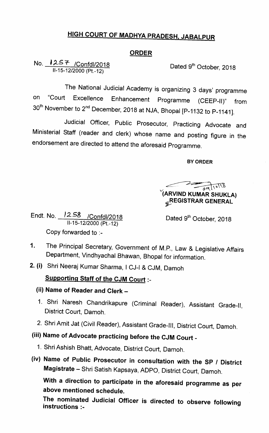## <u>HIGH COURT OF MADHYA PRADESH, JABALPUR</u>

#### ORDER

No. <u>125そ /Confdl/2018</u> lI-15-12/2000(Pt.-12)

Dated 9<sup>th</sup> October, 2018

The National Judicial Academy is organizing 3 days' programme on "Court Excellence Enhancement Programme (CEEP-ll)" from  $30<sup>th</sup>$  November to 2<sup>nd</sup> December, 2018 at NJA, Bhopal [P-1132 to P-1141].

Judicial Officer, Public Prosecutor, Practicing Advocate and Ministerial Staff (reader and clerk) whose name and posting figure in the endorsement are directed to attend the aforesaid Programme.

BY ORDER

V(ARV|ND KUMAR SHUKLA)  $\frac{1}{69}$ **&REGISTRAR GENERAL** 

Endt.No. `258 /Confdl/20 <sup>18</sup> 11-15-12/2000 (Pt.-12) Copy forvarded to :-

Dated 9<sup>th</sup> October, 2018

- 1. The Principal Secretary, Government of M.P., Law & Legislative Affairs Department, Vindhyachal Bhawan, Bhopal for information.
- 2. (i) Shri Neeraj Kumar Sharma, I CJ-I & CJM, Damoh

### Supporting Staff of the CJM Court :-

- (ii) Name of Reader and Clerk -
- 1. Shri Naresh Chandrikapure (Criminal Reader), Assistant Grade-ll, District Court, Damoh.
- 2. Shri Amit Jat (Civil Reader), Assistant Grade-Ill, District Court, Damoh.

# (iii) Name of Advocate practicing before the CJM Court -

- 1. Shri Ashish Bhatt, Advocate, District Court, Damoh.
- (iv) Name of Public Prosecutor in consultation with the SP / District Magistrate - Shri Satish Kapsaya, ADPO, District Court, Damoh.

With a direction to participate in the aforesaid programme as per above mentioned schedule.

The nominated Judicial Officer is directed to observe following instructions :-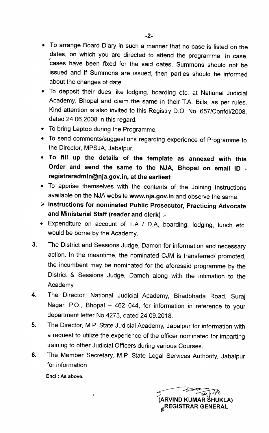• To arrange Board Diary in such a manner that no case is listed on the dates, on which you are directed to attend the programme. In case, cases have been fixed for the said dates, Summons should not be issued and if Summons are issued, then parties should be informed about the changes of date.

- To deposit their dues like lodging, boarding etc. at National Judicial Academy, Bhopal and claim the same in their T.A. Bills, as per rules. Kind attention is also invited to this Registry D.O. No. 657/Confdl/2008, dated 24.06.2008 in this regard.
- To bring Laptop during the Programme.
- To send comments/suggestions regarding experience of Programme to the Director, MPSJA, Jabalpur.
- To fill up the details of the template as annexed with this Order and send the same to the NJA, Bhopal on email ID registraradmin@nja.gov.in, at the earliest.
- To apprise themselves with the contents of the Joining Instructions available on the NJA website www.nja.gov.in and observe the same.
- > Instructions for nominated Public Prosecutor, Practicing Advocate and Ministerial Staff (reader and clerk) :-
- Expenditure on account of T.A / D.A, boarding, lodging, lunch etc. would be borne by the Academy.
- $3.$ The District and Sessions Judge, Damoh for information and necessary action. In the meantime, the nominated CJM is transferred/ promoted, the incumbent may be nominated for the aforesaid programme by the District & Sessions Judge, Damoh along with the intimation to the Academy.
- 4. The Director, National Judicial Academy, Bhadbhada Road, Suraj Nagar, P.O., Bhopal - 462 044, for information in reference to your department letter No.4273, dated 24.09.2018.
- The Director, M.P. State Judicial Academy, Jabalpur for information with 5. a request to utilize the experience of the officer nominated for imparting training to other Judicial Officers during various Courses.
- 6. The Member Secretary, M.P. State Legal Services Authority, Jabalpur for information.

Encl : As above.

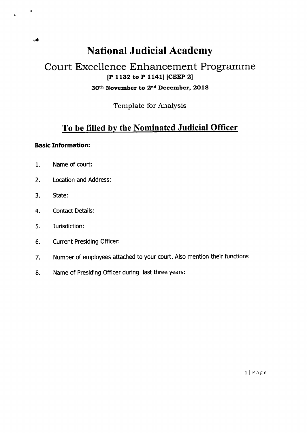# National Judicial Academy

## Court Excellence Enhancement Programme [P 1132 to P 1141] [CEEP 2] 30th November to 2nd December, 2018

Template for Analysis

## To be filled by the Nominated Judicial Officer

#### **Basic Information:**

- 1. Name of court:
- 2. Location and Address:
- 3. State :
- 4. Contact Details:
- 5. Jurisdiction :
- 6. Current Presiding Officer:
- 7. Number of employees attached to your court. Also mention their functions
- 8. Name of presiding officer during last three years: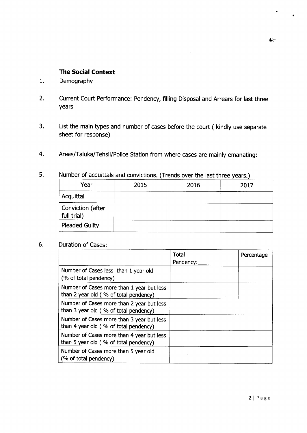#### The Social Context

- $1.$ Demography
- 2. Current court performance: Pendency, filling Disposal and Arrears for last three years
- List the main types and number of cases before the court ( kindly use separate 3. sheet for response)
- 4. Areas/Taluka/Tehsil/Police Station from where cases are mainly emanating:

| Year                             | 2015 | 2016 | 2017 |  |
|----------------------------------|------|------|------|--|
| Acquittal                        |      |      |      |  |
| Conviction (after<br>full trial) |      |      |      |  |
| <b>Pleaded Guilty</b>            |      |      |      |  |

5. Number of acquittals and convictions. (Trends over the last three years.)

#### 6. Duration of Cases:

|                                                                                    | Total<br>Pendency: | Percentage |
|------------------------------------------------------------------------------------|--------------------|------------|
| Number of Cases less than 1 year old<br>(% of total pendency)                      |                    |            |
| Number of Cases more than 1 year but less<br>than 2 year old (% of total pendency) |                    |            |
| Number of Cases more than 2 year but less<br>than 3 year old (% of total pendency) |                    |            |
| Number of Cases more than 3 year but less<br>than 4 year old (% of total pendency) |                    |            |
| Number of Cases more than 4 year but less<br>than 5 year old (% of total pendency) |                    |            |
| Number of Cases more than 5 year old<br>(% of total pendency)                      |                    |            |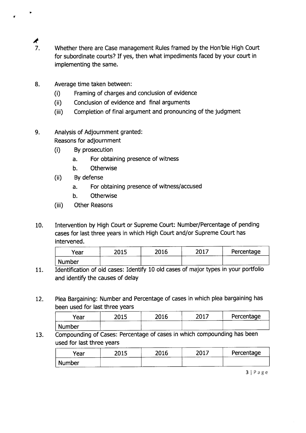- $\frac{1}{7}$
- Whether there are Case management Rules framed by the Hon'ble High Court for subordinate courts? If yes, then what impediments faced by your court in implementing the same.
- 8. Average time taken between:
	- (i) Framing of charges and conclusion of evidence
	- (ii) Conclusion of evidence and final arguments
	- (iii) Completion of final argument and pronouncing of the judgment
- 9. Analysis of Adjournment granted : Reasons for adjournment
	- (i) By prosecution
		- a. For obtaining presence of witness
		- b. Otherwise
	- (ij) By defense
		- a. For obtaining presence of witness/accused
		- b. Otherwise
	- (iii) Other Reasons
- 10. Intervention by High court or supreme court: Number/Percentage of pending cases for last three years in which High Court and/or Supreme Court has intervened.

| Year          | <b>DO15</b>       | 2016 | 2017 | Percentage |
|---------------|-------------------|------|------|------------|
| <b>Number</b> | <b>CONTRACTOR</b> |      |      |            |

- 11. Identification of old cases: Identify 10 old cases of major types in your portfolio and identify the causes of delay
- 12. Plea Bargaining: Number and percentage of cases in which plea bargaining has been used for last three years

| Year   | つの15<br>-ulu | 2016 | $201^{-}$ | Percentage |
|--------|--------------|------|-----------|------------|
| Number |              |      |           |            |

13. Compounding of cases: Percentage of cases in which compounding has been used for last three years

| Year          | 2015   | 2016 | つハ1つ | Percentage |
|---------------|--------|------|------|------------|
| <b>Number</b> | ______ |      |      |            |

 $3 | P \text{age}$